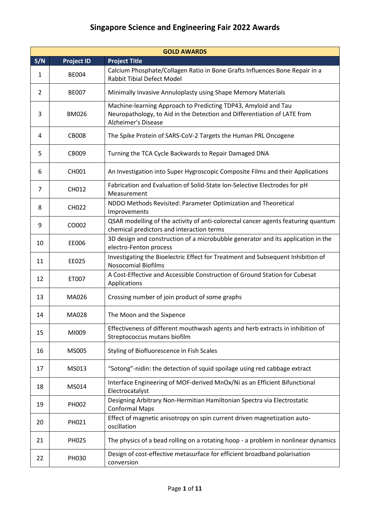| <b>GOLD AWARDS</b> |                   |                                                                                                                                                                          |  |
|--------------------|-------------------|--------------------------------------------------------------------------------------------------------------------------------------------------------------------------|--|
| S/N                | <b>Project ID</b> | <b>Project Title</b>                                                                                                                                                     |  |
| 1                  | <b>BE004</b>      | Calcium Phosphate/Collagen Ratio in Bone Grafts Influences Bone Repair in a<br><b>Rabbit Tibial Defect Model</b>                                                         |  |
| 2                  | <b>BE007</b>      | Minimally Invasive Annuloplasty using Shape Memory Materials                                                                                                             |  |
| 3                  | <b>BM026</b>      | Machine-learning Approach to Predicting TDP43, Amyloid and Tau<br>Neuropathology, to Aid in the Detection and Differentiation of LATE from<br><b>Alzheimer's Disease</b> |  |
| 4                  | <b>CB008</b>      | The Spike Protein of SARS-CoV-2 Targets the Human PRL Oncogene                                                                                                           |  |
| 5                  | CB009             | Turning the TCA Cycle Backwards to Repair Damaged DNA                                                                                                                    |  |
| 6                  | <b>CH001</b>      | An Investigation into Super Hygroscopic Composite Films and their Applications                                                                                           |  |
| 7                  | CH012             | Fabrication and Evaluation of Solid-State Ion-Selective Electrodes for pH<br>Measurement                                                                                 |  |
| 8                  | <b>CH022</b>      | NDDO Methods Revisited: Parameter Optimization and Theoretical<br>Improvements                                                                                           |  |
| 9                  | CO002             | QSAR modelling of the activity of anti-colorectal cancer agents featuring quantum<br>chemical predictors and interaction terms                                           |  |
| 10                 | EE006             | 3D design and construction of a microbubble generator and its application in the<br>electro-Fenton process                                                               |  |
| 11                 | EE025             | Investigating the Bioelectric Effect for Treatment and Subsequent Inhibition of<br><b>Nosocomial Biofilms</b>                                                            |  |
| 12                 | ET007             | A Cost-Effective and Accessible Construction of Ground Station for Cubesat<br>Applications                                                                               |  |
| 13                 | MA026             | Crossing number of join product of some graphs                                                                                                                           |  |
| 14                 | MA028             | The Moon and the Sixpence                                                                                                                                                |  |
| 15                 | MI009             | Effectiveness of different mouthwash agents and herb extracts in inhibition of<br>Streptococcus mutans biofilm                                                           |  |
| 16                 | MS005             | Styling of Biofluorescence in Fish Scales                                                                                                                                |  |
| 17                 | MS013             | "Sotong"-nidin: the detection of squid spoilage using red cabbage extract                                                                                                |  |
| 18                 | MS014             | Interface Engineering of MOF-derived MnOx/Ni as an Efficient Bifunctional<br>Electrocatalyst                                                                             |  |
| 19                 | PH002             | Designing Arbitrary Non-Hermitian Hamiltonian Spectra via Electrostatic<br><b>Conformal Maps</b>                                                                         |  |
| 20                 | PH021             | Effect of magnetic anisotropy on spin current driven magnetization auto-<br>oscillation                                                                                  |  |
| 21                 | PH025             | The physics of a bead rolling on a rotating hoop - a problem in nonlinear dynamics                                                                                       |  |
| 22                 | PH030             | Design of cost-effective metasurface for efficient broadband polarisation<br>conversion                                                                                  |  |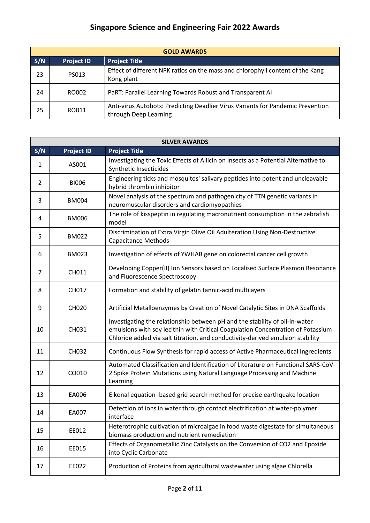| <b>GOLD AWARDS</b> |                   |                                                                                                          |  |  |  |
|--------------------|-------------------|----------------------------------------------------------------------------------------------------------|--|--|--|
| S/N                | <b>Project ID</b> | <b>Project Title</b>                                                                                     |  |  |  |
| 23                 | PS013             | Effect of different NPK ratios on the mass and chlorophyll content of the Kang<br>Kong plant             |  |  |  |
| 24                 | RO002             | PaRT: Parallel Learning Towards Robust and Transparent AI                                                |  |  |  |
| 25                 | RO011             | Anti-virus Autobots: Predicting Deadlier Virus Variants for Pandemic Prevention<br>through Deep Learning |  |  |  |

|     | <b>SILVER AWARDS</b> |                                                                                                                                                                                                                                                   |  |  |
|-----|----------------------|---------------------------------------------------------------------------------------------------------------------------------------------------------------------------------------------------------------------------------------------------|--|--|
| S/N | <b>Project ID</b>    | <b>Project Title</b>                                                                                                                                                                                                                              |  |  |
| 1   | AS001                | Investigating the Toxic Effects of Allicin on Insects as a Potential Alternative to<br>Synthetic Insecticides                                                                                                                                     |  |  |
| 2   | <b>BI006</b>         | Engineering ticks and mosquitos' salivary peptides into potent and uncleavable<br>hybrid thrombin inhibitor                                                                                                                                       |  |  |
| 3   | <b>BM004</b>         | Novel analysis of the spectrum and pathogenicity of TTN genetic variants in<br>neuromuscular disorders and cardiomyopathies                                                                                                                       |  |  |
| 4   | <b>BM006</b>         | The role of kisspeptin in regulating macronutrient consumption in the zebrafish<br>model                                                                                                                                                          |  |  |
| 5   | <b>BM022</b>         | Discrimination of Extra Virgin Olive Oil Adulteration Using Non-Destructive<br><b>Capacitance Methods</b>                                                                                                                                         |  |  |
| 6   | <b>BM023</b>         | Investigation of effects of YWHAB gene on colorectal cancer cell growth                                                                                                                                                                           |  |  |
| 7   | CH011                | Developing Copper(II) Ion Sensors based on Localised Surface Plasmon Resonance<br>and Fluorescence Spectroscopy                                                                                                                                   |  |  |
| 8   | CH017                | Formation and stability of gelatin tannic-acid multilayers                                                                                                                                                                                        |  |  |
| 9   | <b>CH020</b>         | Artificial Metalloenzymes by Creation of Novel Catalytic Sites in DNA Scaffolds                                                                                                                                                                   |  |  |
| 10  | CH031                | Investigating the relationship between pH and the stability of oil-in-water<br>emulsions with soy lecithin with Critical Coagulation Concentration of Potassium<br>Chloride added via salt titration, and conductivity-derived emulsion stability |  |  |
| 11  | <b>CH032</b>         | Continuous Flow Synthesis for rapid access of Active Pharmaceutical Ingredients                                                                                                                                                                   |  |  |
| 12  | CO010                | Automated Classification and Identification of Literature on Functional SARS-CoV-<br>2 Spike Protein Mutations using Natural Language Processing and Machine<br>Learning                                                                          |  |  |
| 13  | EA006                | Eikonal equation -based grid search method for precise earthquake location                                                                                                                                                                        |  |  |
| 14  | EA007                | Detection of ions in water through contact electrification at water-polymer<br>interface                                                                                                                                                          |  |  |
| 15  | EE012                | Heterotrophic cultivation of microalgae in food waste digestate for simultaneous<br>biomass production and nutrient remediation                                                                                                                   |  |  |
| 16  | EE015                | Effects of Organometallic Zinc Catalysts on the Conversion of CO2 and Epoxide<br>into Cyclic Carbonate                                                                                                                                            |  |  |
| 17  | EE022                | Production of Proteins from agricultural wastewater using algae Chlorella                                                                                                                                                                         |  |  |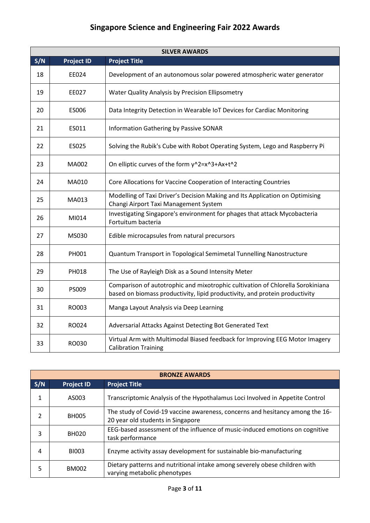| <b>SILVER AWARDS</b> |                   |                                                                                                                                                               |  |  |
|----------------------|-------------------|---------------------------------------------------------------------------------------------------------------------------------------------------------------|--|--|
| S/N                  | <b>Project ID</b> | <b>Project Title</b>                                                                                                                                          |  |  |
| 18                   | EE024             | Development of an autonomous solar powered atmospheric water generator                                                                                        |  |  |
| 19                   | EE027             | Water Quality Analysis by Precision Ellipsometry                                                                                                              |  |  |
| 20                   | ES006             | Data Integrity Detection in Wearable IoT Devices for Cardiac Monitoring                                                                                       |  |  |
| 21                   | ES011             | <b>Information Gathering by Passive SONAR</b>                                                                                                                 |  |  |
| 22                   | ES025             | Solving the Rubik's Cube with Robot Operating System, Lego and Raspberry Pi                                                                                   |  |  |
| 23                   | MA002             | On elliptic curves of the form y^2=x^3+Ax+t^2                                                                                                                 |  |  |
| 24                   | MA010             | Core Allocations for Vaccine Cooperation of Interacting Countries                                                                                             |  |  |
| 25                   | MA013             | Modelling of Taxi Driver's Decision Making and Its Application on Optimising<br>Changi Airport Taxi Management System                                         |  |  |
| 26                   | MI014             | Investigating Singapore's environment for phages that attack Mycobacteria<br>Fortuitum bacteria                                                               |  |  |
| 27                   | MS030             | Edible microcapsules from natural precursors                                                                                                                  |  |  |
| 28                   | PH001             | Quantum Transport in Topological Semimetal Tunnelling Nanostructure                                                                                           |  |  |
| 29                   | PH018             | The Use of Rayleigh Disk as a Sound Intensity Meter                                                                                                           |  |  |
| 30                   | PS009             | Comparison of autotrophic and mixotrophic cultivation of Chlorella Sorokiniana<br>based on biomass productivity, lipid productivity, and protein productivity |  |  |
| 31                   | RO003             | Manga Layout Analysis via Deep Learning                                                                                                                       |  |  |
| 32                   | RO024             | Adversarial Attacks Against Detecting Bot Generated Text                                                                                                      |  |  |
| 33                   | RO030             | Virtual Arm with Multimodal Biased feedback for Improving EEG Motor Imagery<br><b>Calibration Training</b>                                                    |  |  |

| <b>BRONZE AWARDS</b> |                                           |                                                                                                                    |  |  |  |  |
|----------------------|-------------------------------------------|--------------------------------------------------------------------------------------------------------------------|--|--|--|--|
| S/N                  | <b>Project Title</b><br><b>Project ID</b> |                                                                                                                    |  |  |  |  |
| 1                    | AS003                                     | Transcriptomic Analysis of the Hypothalamus Loci Involved in Appetite Control                                      |  |  |  |  |
| $\mathfrak{p}$       | <b>BH005</b>                              | The study of Covid-19 vaccine awareness, concerns and hesitancy among the 16-<br>20 year old students in Singapore |  |  |  |  |
| 3                    | <b>BH020</b>                              | EEG-based assessment of the influence of music-induced emotions on cognitive<br>task performance                   |  |  |  |  |
| 4                    | <b>BI003</b>                              | Enzyme activity assay development for sustainable bio-manufacturing                                                |  |  |  |  |
| 5                    | <b>BM002</b>                              | Dietary patterns and nutritional intake among severely obese children with<br>varying metabolic phenotypes         |  |  |  |  |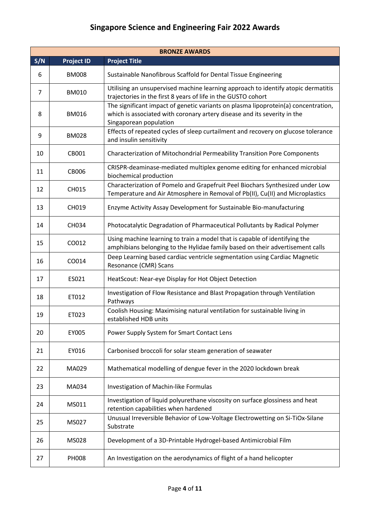|     | <b>BRONZE AWARDS</b> |                                                                                                                                                                                          |  |  |
|-----|----------------------|------------------------------------------------------------------------------------------------------------------------------------------------------------------------------------------|--|--|
| S/N | <b>Project ID</b>    | <b>Project Title</b>                                                                                                                                                                     |  |  |
| 6   | <b>BM008</b>         | Sustainable Nanofibrous Scaffold for Dental Tissue Engineering                                                                                                                           |  |  |
| 7   | <b>BM010</b>         | Utilising an unsupervised machine learning approach to identify atopic dermatitis<br>trajectories in the first 8 years of life in the GUSTO cohort                                       |  |  |
| 8   | <b>BM016</b>         | The significant impact of genetic variants on plasma lipoprotein(a) concentration,<br>which is associated with coronary artery disease and its severity in the<br>Singaporean population |  |  |
| 9   | <b>BM028</b>         | Effects of repeated cycles of sleep curtailment and recovery on glucose tolerance<br>and insulin sensitivity                                                                             |  |  |
| 10  | CB001                | Characterization of Mitochondrial Permeability Transition Pore Components                                                                                                                |  |  |
| 11  | CB006                | CRISPR-deaminase-mediated multiplex genome editing for enhanced microbial<br>biochemical production                                                                                      |  |  |
| 12  | CH015                | Characterization of Pomelo and Grapefruit Peel Biochars Synthesized under Low<br>Temperature and Air Atmosphere in Removal of Pb(II), Cu(II) and Microplastics                           |  |  |
| 13  | <b>CH019</b>         | Enzyme Activity Assay Development for Sustainable Bio-manufacturing                                                                                                                      |  |  |
| 14  | CH034                | Photocatalytic Degradation of Pharmaceutical Pollutants by Radical Polymer                                                                                                               |  |  |
| 15  | CO012                | Using machine learning to train a model that is capable of identifying the<br>amphibians belonging to the Hylidae family based on their advertisement calls                              |  |  |
| 16  | CO014                | Deep Learning based cardiac ventricle segmentation using Cardiac Magnetic<br>Resonance (CMR) Scans                                                                                       |  |  |
| 17  | ES021                | HeatScout: Near-eye Display for Hot Object Detection                                                                                                                                     |  |  |
| 18  | ET012                | Investigation of Flow Resistance and Blast Propagation through Ventilation<br>Pathways                                                                                                   |  |  |
| 19  | ET023                | Coolish Housing: Maximising natural ventilation for sustainable living in<br>established HDB units                                                                                       |  |  |
| 20  | EY005                | Power Supply System for Smart Contact Lens                                                                                                                                               |  |  |
| 21  | EY016                | Carbonised broccoli for solar steam generation of seawater                                                                                                                               |  |  |
| 22  | MA029                | Mathematical modelling of dengue fever in the 2020 lockdown break                                                                                                                        |  |  |
| 23  | MA034                | Investigation of Machin-like Formulas                                                                                                                                                    |  |  |
| 24  | MS011                | Investigation of liquid polyurethane viscosity on surface glossiness and heat<br>retention capabilities when hardened                                                                    |  |  |
| 25  | MS027                | Unusual Irreversible Behavior of Low-Voltage Electrowetting on Si-TiOx-Silane<br>Substrate                                                                                               |  |  |
| 26  | MS028                | Development of a 3D-Printable Hydrogel-based Antimicrobial Film                                                                                                                          |  |  |
| 27  | <b>PH008</b>         | An Investigation on the aerodynamics of flight of a hand helicopter                                                                                                                      |  |  |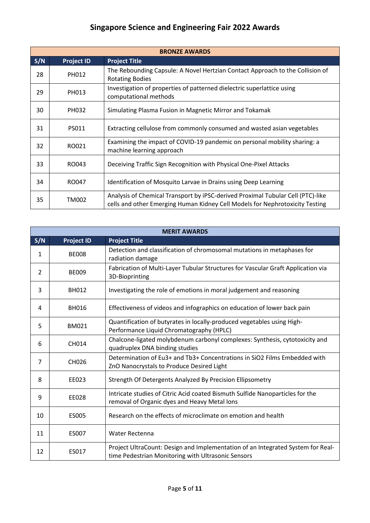| <b>BRONZE AWARDS</b> |                   |                                                                                                                                                                 |  |  |
|----------------------|-------------------|-----------------------------------------------------------------------------------------------------------------------------------------------------------------|--|--|
| S/N                  | <b>Project ID</b> | <b>Project Title</b>                                                                                                                                            |  |  |
| 28                   | PH012             | The Rebounding Capsule: A Novel Hertzian Contact Approach to the Collision of<br><b>Rotating Bodies</b>                                                         |  |  |
| 29                   | PH013             | Investigation of properties of patterned dielectric superlattice using<br>computational methods                                                                 |  |  |
| 30                   | PH032             | Simulating Plasma Fusion in Magnetic Mirror and Tokamak                                                                                                         |  |  |
| 31                   | PS011             | Extracting cellulose from commonly consumed and wasted asian vegetables                                                                                         |  |  |
| 32                   | RO021             | Examining the impact of COVID-19 pandemic on personal mobility sharing: a<br>machine learning approach                                                          |  |  |
| 33                   | RO043             | Deceiving Traffic Sign Recognition with Physical One-Pixel Attacks                                                                                              |  |  |
| 34                   | RO047             | Identification of Mosquito Larvae in Drains using Deep Learning                                                                                                 |  |  |
| 35                   | TM002             | Analysis of Chemical Transport by iPSC-derived Proximal Tubular Cell (PTC)-like<br>cells and other Emerging Human Kidney Cell Models for Nephrotoxicity Testing |  |  |

|     | <b>MERIT AWARDS</b> |                                                                                                                                       |  |  |
|-----|---------------------|---------------------------------------------------------------------------------------------------------------------------------------|--|--|
| S/N | <b>Project ID</b>   | <b>Project Title</b>                                                                                                                  |  |  |
| 1   | <b>BE008</b>        | Detection and classification of chromosomal mutations in metaphases for<br>radiation damage                                           |  |  |
| 2   | <b>BE009</b>        | Fabrication of Multi-Layer Tubular Structures for Vascular Graft Application via<br>3D-Bioprinting                                    |  |  |
| 3   | <b>BH012</b>        | Investigating the role of emotions in moral judgement and reasoning                                                                   |  |  |
| 4   | <b>BH016</b>        | Effectiveness of videos and infographics on education of lower back pain                                                              |  |  |
| 5   | <b>BM021</b>        | Quantification of butyrates in locally-produced vegetables using High-<br>Performance Liquid Chromatography (HPLC)                    |  |  |
| 6   | CH014               | Chalcone-ligated molybdenum carbonyl complexes: Synthesis, cytotoxicity and<br>quadruplex DNA binding studies                         |  |  |
| 7   | CH026               | Determination of Eu3+ and Tb3+ Concentrations in SiO2 Films Embedded with<br>ZnO Nanocrystals to Produce Desired Light                |  |  |
| 8   | EE023               | Strength Of Detergents Analyzed By Precision Ellipsometry                                                                             |  |  |
| 9   | EE028               | Intricate studies of Citric Acid coated Bismuth Sulfide Nanoparticles for the<br>removal of Organic dyes and Heavy Metal Ions         |  |  |
| 10  | ES005               | Research on the effects of microclimate on emotion and health                                                                         |  |  |
| 11  | ES007               | <b>Water Rectenna</b>                                                                                                                 |  |  |
| 12  | ES017               | Project UltraCount: Design and Implementation of an Integrated System for Real-<br>time Pedestrian Monitoring with Ultrasonic Sensors |  |  |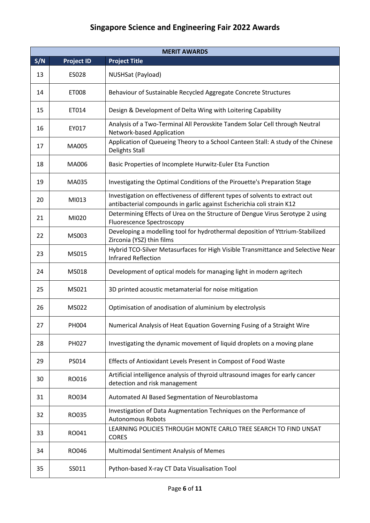|     | <b>MERIT AWARDS</b> |                                                                                                                                                       |  |  |
|-----|---------------------|-------------------------------------------------------------------------------------------------------------------------------------------------------|--|--|
| S/N | <b>Project ID</b>   | <b>Project Title</b>                                                                                                                                  |  |  |
| 13  | ES028               | NUSHSat (Payload)                                                                                                                                     |  |  |
| 14  | ET008               | Behaviour of Sustainable Recycled Aggregate Concrete Structures                                                                                       |  |  |
| 15  | ET014               | Design & Development of Delta Wing with Loitering Capability                                                                                          |  |  |
| 16  | EY017               | Analysis of a Two-Terminal All Perovskite Tandem Solar Cell through Neutral<br>Network-based Application                                              |  |  |
| 17  | MA005               | Application of Queueing Theory to a School Canteen Stall: A study of the Chinese<br><b>Delights Stall</b>                                             |  |  |
| 18  | MA006               | Basic Properties of Incomplete Hurwitz-Euler Eta Function                                                                                             |  |  |
| 19  | MA035               | Investigating the Optimal Conditions of the Pirouette's Preparation Stage                                                                             |  |  |
| 20  | MI013               | Investigation on effectiveness of different types of solvents to extract out<br>antibacterial compounds in garlic against Escherichia coli strain K12 |  |  |
| 21  | MI020               | Determining Effects of Urea on the Structure of Dengue Virus Serotype 2 using<br><b>Fluorescence Spectroscopy</b>                                     |  |  |
| 22  | MS003               | Developing a modelling tool for hydrothermal deposition of Yttrium-Stabilized<br>Zirconia (YSZ) thin films                                            |  |  |
| 23  | MS015               | Hybrid TCO-Silver Metasurfaces for High Visible Transmittance and Selective Near<br><b>Infrared Reflection</b>                                        |  |  |
| 24  | MS018               | Development of optical models for managing light in modern agritech                                                                                   |  |  |
| 25  | MS021               | 3D printed acoustic metamaterial for noise mitigation                                                                                                 |  |  |
| 26  | MS022               | Optimisation of anodisation of aluminium by electrolysis                                                                                              |  |  |
| 27  | PH004               | Numerical Analysis of Heat Equation Governing Fusing of a Straight Wire                                                                               |  |  |
| 28  | PH027               | Investigating the dynamic movement of liquid droplets on a moving plane                                                                               |  |  |
| 29  | PS014               | Effects of Antioxidant Levels Present in Compost of Food Waste                                                                                        |  |  |
| 30  | RO016               | Artificial intelligence analysis of thyroid ultrasound images for early cancer<br>detection and risk management                                       |  |  |
| 31  | RO034               | Automated AI Based Segmentation of Neuroblastoma                                                                                                      |  |  |
| 32  | RO035               | Investigation of Data Augmentation Techniques on the Performance of<br><b>Autonomous Robots</b>                                                       |  |  |
| 33  | RO041               | LEARNING POLICIES THROUGH MONTE CARLO TREE SEARCH TO FIND UNSAT<br><b>CORES</b>                                                                       |  |  |
| 34  | RO046               | Multimodal Sentiment Analysis of Memes                                                                                                                |  |  |
| 35  | SS011               | Python-based X-ray CT Data Visualisation Tool                                                                                                         |  |  |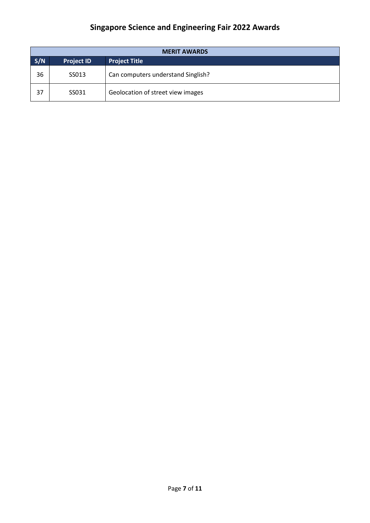| <b>MERIT AWARDS</b> |                                           |                                    |  |  |
|---------------------|-------------------------------------------|------------------------------------|--|--|
| S/N                 | <b>Project ID</b><br><b>Project Title</b> |                                    |  |  |
| 36                  | SS013                                     | Can computers understand Singlish? |  |  |
| 37                  | SS031                                     | Geolocation of street view images  |  |  |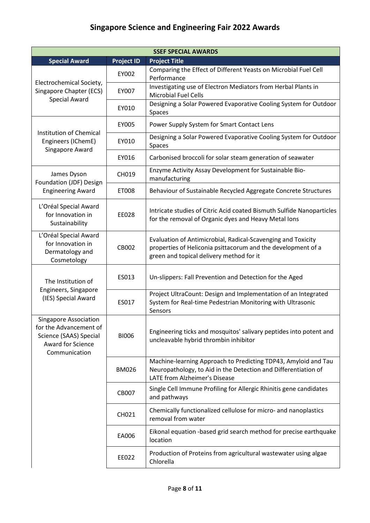| <b>SSEF SPECIAL AWARDS</b>                                                                                             |                   |                                                                                                                                                                          |  |
|------------------------------------------------------------------------------------------------------------------------|-------------------|--------------------------------------------------------------------------------------------------------------------------------------------------------------------------|--|
| <b>Special Award</b>                                                                                                   | <b>Project ID</b> | <b>Project Title</b>                                                                                                                                                     |  |
|                                                                                                                        | EY002             | Comparing the Effect of Different Yeasts on Microbial Fuel Cell<br>Performance                                                                                           |  |
| Electrochemical Society,<br>Singapore Chapter (ECS)                                                                    | EY007             | Investigating use of Electron Mediators from Herbal Plants in<br><b>Microbial Fuel Cells</b>                                                                             |  |
| <b>Special Award</b>                                                                                                   | EY010             | Designing a Solar Powered Evaporative Cooling System for Outdoor<br>Spaces                                                                                               |  |
|                                                                                                                        | EY005             | Power Supply System for Smart Contact Lens                                                                                                                               |  |
| Institution of Chemical<br>Engineers (IChemE)<br>Singapore Award                                                       | EY010             | Designing a Solar Powered Evaporative Cooling System for Outdoor<br>Spaces                                                                                               |  |
|                                                                                                                        | EY016             | Carbonised broccoli for solar steam generation of seawater                                                                                                               |  |
| James Dyson<br>Foundation (JDF) Design                                                                                 | CH019             | Enzyme Activity Assay Development for Sustainable Bio-<br>manufacturing                                                                                                  |  |
| <b>Engineering Award</b>                                                                                               | ET008             | Behaviour of Sustainable Recycled Aggregate Concrete Structures                                                                                                          |  |
| L'Oréal Special Award<br>for Innovation in<br>Sustainability                                                           | EE028             | Intricate studies of Citric Acid coated Bismuth Sulfide Nanoparticles<br>for the removal of Organic dyes and Heavy Metal lons                                            |  |
| L'Oréal Special Award<br>for Innovation in<br>Dermatology and<br>Cosmetology                                           | CB002             | Evaluation of Antimicrobial, Radical-Scavenging and Toxicity<br>properties of Heliconia psittacorum and the development of a<br>green and topical delivery method for it |  |
| The Institution of                                                                                                     | ES013             | Un-slippers: Fall Prevention and Detection for the Aged                                                                                                                  |  |
| Engineers, Singapore<br>(IES) Special Award                                                                            | ES017             | Project UltraCount: Design and Implementation of an Integrated<br>System for Real-time Pedestrian Monitoring with Ultrasonic<br>Sensors                                  |  |
| <b>Singapore Association</b><br>for the Advancement of<br>Science (SAAS) Special<br>Award for Science<br>Communication | <b>BI006</b>      | Engineering ticks and mosquitos' salivary peptides into potent and<br>uncleavable hybrid thrombin inhibitor                                                              |  |
|                                                                                                                        | <b>BM026</b>      | Machine-learning Approach to Predicting TDP43, Amyloid and Tau<br>Neuropathology, to Aid in the Detection and Differentiation of<br>LATE from Alzheimer's Disease        |  |
|                                                                                                                        | CB007             | Single Cell Immune Profiling for Allergic Rhinitis gene candidates<br>and pathways                                                                                       |  |
|                                                                                                                        | CH021             | Chemically functionalized cellulose for micro- and nanoplastics<br>removal from water                                                                                    |  |
|                                                                                                                        | EA006             | Eikonal equation -based grid search method for precise earthquake<br>location                                                                                            |  |
|                                                                                                                        | EE022             | Production of Proteins from agricultural wastewater using algae<br>Chlorella                                                                                             |  |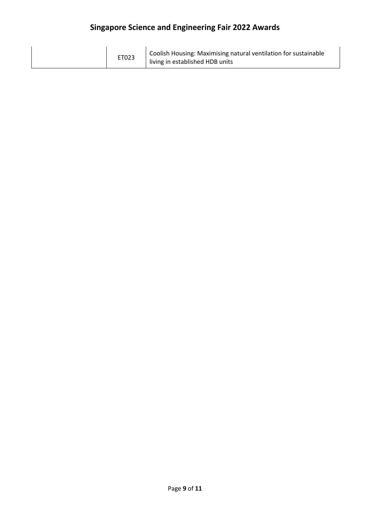| ET023 | Coolish Housing: Maximising natural ventilation for sustainable<br>living in established HDB units |
|-------|----------------------------------------------------------------------------------------------------|
|-------|----------------------------------------------------------------------------------------------------|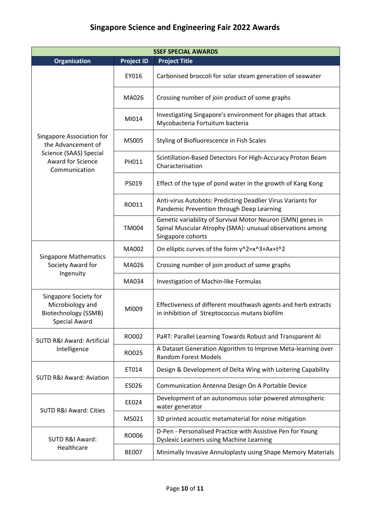| <b>SSEF SPECIAL AWARDS</b>                                                                                      |                   |                                                                                                                                               |  |
|-----------------------------------------------------------------------------------------------------------------|-------------------|-----------------------------------------------------------------------------------------------------------------------------------------------|--|
| <b>Organisation</b>                                                                                             | <b>Project ID</b> | <b>Project Title</b>                                                                                                                          |  |
| Singapore Association for<br>the Advancement of<br>Science (SAAS) Special<br>Award for Science<br>Communication | EY016             | Carbonised broccoli for solar steam generation of seawater                                                                                    |  |
|                                                                                                                 | MA026             | Crossing number of join product of some graphs                                                                                                |  |
|                                                                                                                 | MI014             | Investigating Singapore's environment for phages that attack<br>Mycobacteria Fortuitum bacteria                                               |  |
|                                                                                                                 | MS005             | Styling of Biofluorescence in Fish Scales                                                                                                     |  |
|                                                                                                                 | PH011             | Scintillation-Based Detectors For High-Accuracy Proton Beam<br>Characterisation                                                               |  |
|                                                                                                                 | PS019             | Effect of the type of pond water in the growth of Kang Kong                                                                                   |  |
|                                                                                                                 | RO011             | Anti-virus Autobots: Predicting Deadlier Virus Variants for<br>Pandemic Prevention through Deep Learning                                      |  |
|                                                                                                                 | <b>TM004</b>      | Genetic variability of Survival Motor Neuron (SMN) genes in<br>Spinal Muscular Atrophy (SMA): unusual observations among<br>Singapore cohorts |  |
| <b>Singapore Mathematics</b><br>Society Award for<br>Ingenuity                                                  | MA002             | On elliptic curves of the form y^2=x^3+Ax+t^2                                                                                                 |  |
|                                                                                                                 | MA026             | Crossing number of join product of some graphs                                                                                                |  |
|                                                                                                                 | MA034             | Investigation of Machin-like Formulas                                                                                                         |  |
| Singapore Society for<br>Microbiology and<br>Biotechnology (SSMB)<br>Special Award                              | MI009             | Effectiveness of different mouthwash agents and herb extracts<br>in inhibition of Streptococcus mutans biofilm                                |  |
| SUTD R&I Award: Artificial<br>Intelligence                                                                      | RO002             | PaRT: Parallel Learning Towards Robust and Transparent AI                                                                                     |  |
|                                                                                                                 | RO025             | A Dataset Generation Algorithm to Improve Meta-learning over<br><b>Random Forest Models</b>                                                   |  |
| <b>SUTD R&amp;I Award: Aviation</b>                                                                             | ET014             | Design & Development of Delta Wing with Loitering Capability                                                                                  |  |
|                                                                                                                 | ES026             | Communication Antenna Design On A Portable Device                                                                                             |  |
| <b>SUTD R&amp;I Award: Cities</b>                                                                               | EE024             | Development of an autonomous solar powered atmospheric<br>water generator                                                                     |  |
|                                                                                                                 | MS021             | 3D printed acoustic metamaterial for noise mitigation                                                                                         |  |
| SUTD R&I Award:<br>Healthcare                                                                                   | RO006             | D-Pen - Personalised Practice with Assistive Pen for Young<br><b>Dyslexic Learners using Machine Learning</b>                                 |  |
|                                                                                                                 | <b>BE007</b>      | Minimally Invasive Annuloplasty using Shape Memory Materials                                                                                  |  |